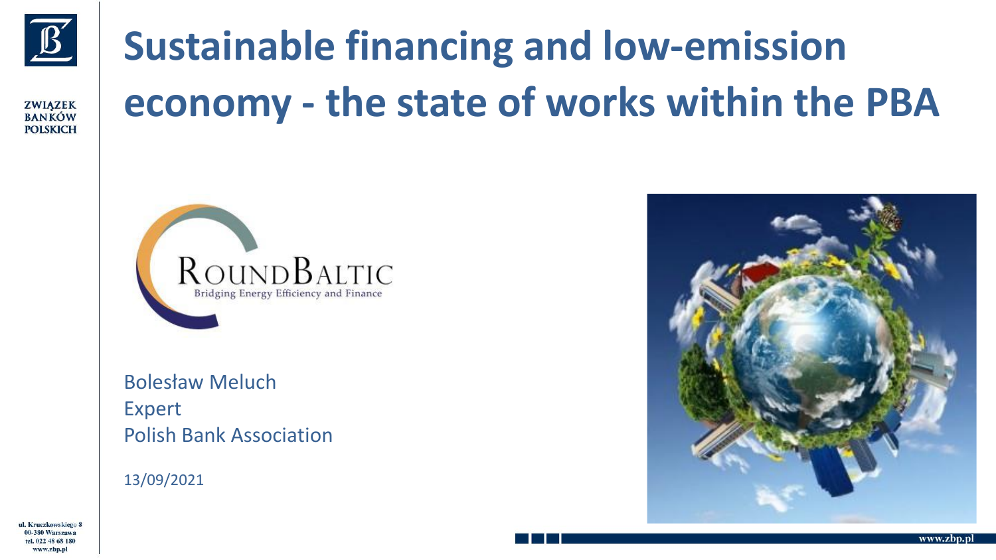

**ZWIAZEK BANKÓW POLSKICH** 

# **Sustainable financing and low-emission economy - the state of works within the PBA**



Bolesław Meluch Expert Polish Bank Association

13/09/2021



ul. Kruczkowskiego 8 00-380 Warszawa al 022.48.68.186 www.zbp.pl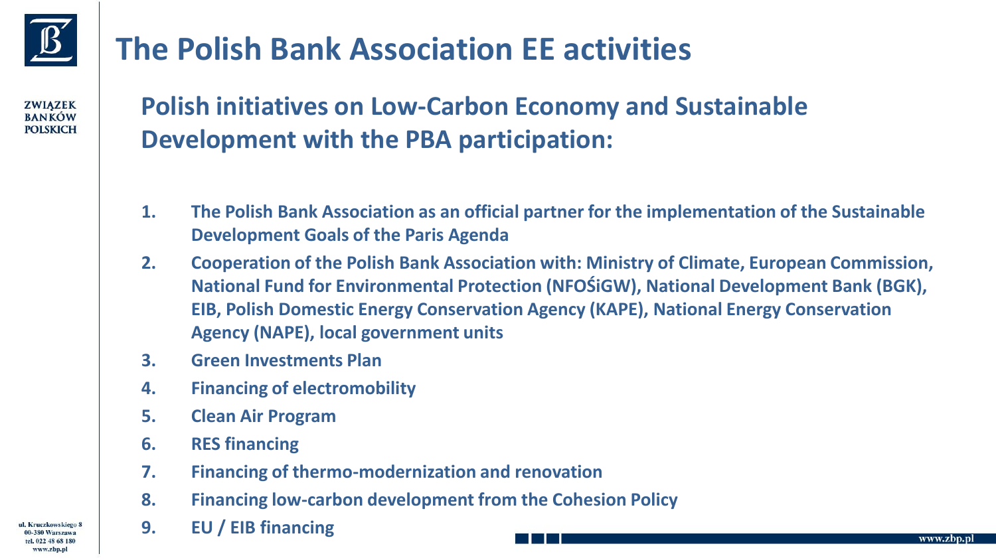

**ZWIAZEK RANKÓW POLSKICH** 

#### **The Polish Bank Association EE activities**

#### **Polish initiatives on Low-Carbon Economy and Sustainable Development with the PBA participation:**

- **1. The Polish Bank Association as an official partner for the implementation of the Sustainable Development Goals of the Paris Agenda**
- **2. Cooperation of the Polish Bank Association with: Ministry of Climate, European Commission, National Fund for Environmental Protection (NFOŚiGW), National Development Bank (BGK), EIB, Polish Domestic Energy Conservation Agency (KAPE), National Energy Conservation Agency (NAPE), local government units**
- **3. Green Investments Plan**
- **4. Financing of electromobility**
- **5. Clean Air Program**
- **6. RES financing**
- **7. Financing of thermo-modernization and renovation**
- **8. Financing low-carbon development from the Cohesion Policy**
- **9. EU / EIB financing**

ul. Kruczkowskiego 8 0-380 Warszawa www.zbp.pl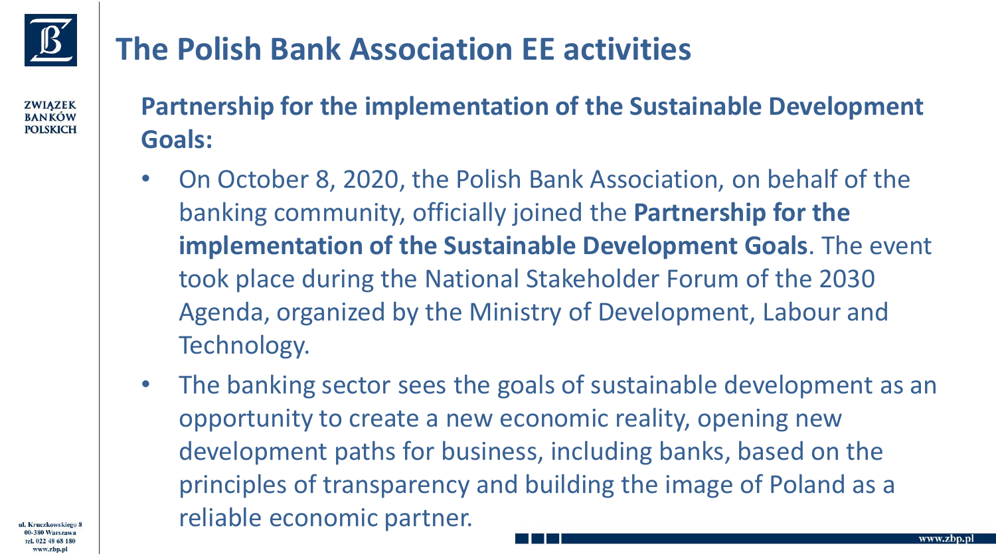- **Partnership for the implementation of the Sustainable Development Goals:**
- On October 8, 2020, the Polish Bank Association, on behalf of the banking community, officially joined the **Partnership for the implementation of the Sustainable Development Goals**. The event took place during the National Stakeholder Forum of the 2030 Agenda, organized by the Ministry of Development, Labour and Technology.
- The banking sector sees the goals of sustainable development as an opportunity to create a new economic reality, opening new development paths for business, including banks, based on the principles of transparency and building the image of Poland as a reliable economic partner.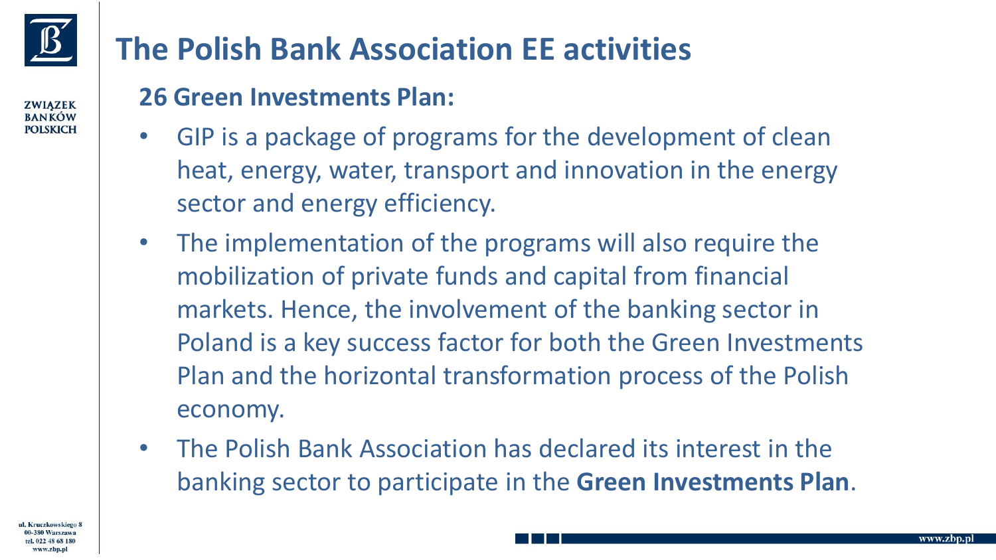

**ZWIAZEK RANKÓW POLSKICH** 

#### **The Polish Bank Association EE activities**

#### **26 Green Investments Plan:**

- GIP is a package of programs for the development of clean heat, energy, water, transport and innovation in the energy sector and energy efficiency.
- The implementation of the programs will also require the mobilization of private funds and capital from financial markets. Hence, the involvement of the banking sector in Poland is a key success factor for both the Green Investments Plan and the horizontal transformation process of the Polish economy.
- The Polish Bank Association has declared its interest in the banking sector to participate in the **Green Investments Plan**.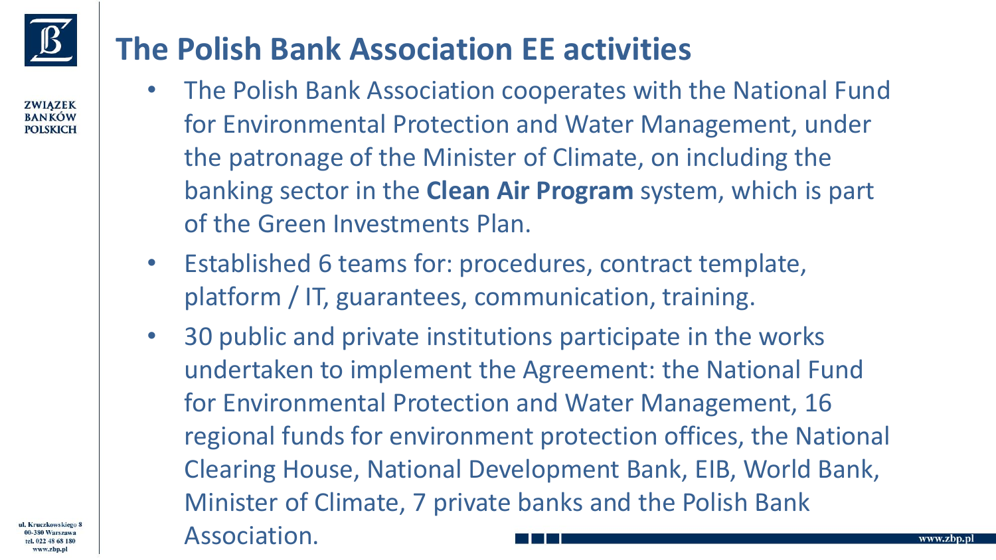- The Polish Bank Association cooperates with the National Fund for Environmental Protection and Water Management, under the patronage of the Minister of Climate, on including the banking sector in the **Clean Air Program** system, which is part of the Green Investments Plan.
- Established 6 teams for: procedures, contract template, platform / IT, guarantees, communication, training.
- 30 public and private institutions participate in the works undertaken to implement the Agreement: the National Fund for Environmental Protection and Water Management, 16 regional funds for environment protection offices, the National Clearing House, National Development Bank, EIB, World Bank, Minister of Climate, 7 private banks and the Polish Bank Association.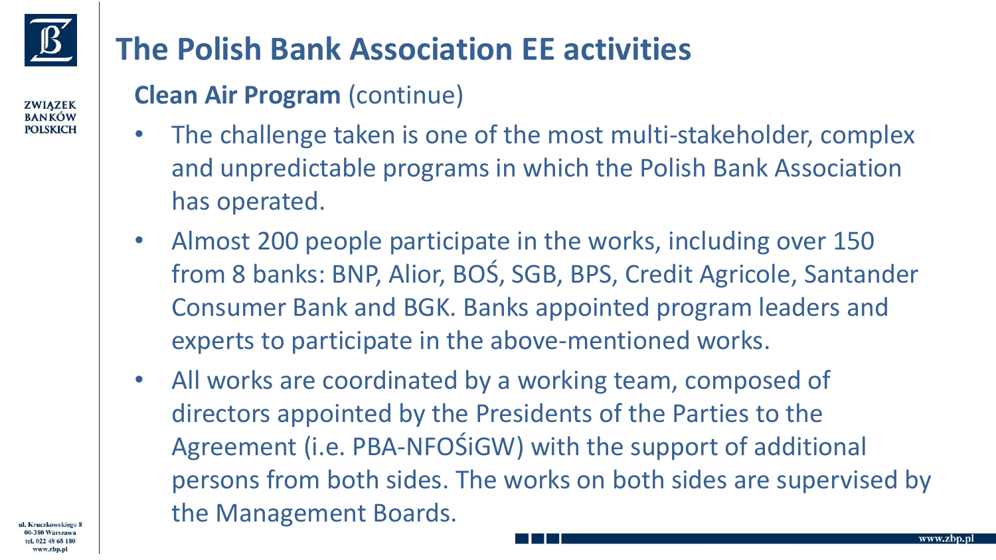

**ZWIAZEK RANKÓW POLSKICH** 

### **The Polish Bank Association EE activities**

#### **Clean Air Program** (continue)

- The challenge taken is one of the most multi-stakeholder, complex and unpredictable programs in which the Polish Bank Association has operated.
- Almost 200 people participate in the works, including over 150 from 8 banks: BNP, Alior, BOŚ, SGB, BPS, Credit Agricole, Santander Consumer Bank and BGK. Banks appointed program leaders and experts to participate in the above-mentioned works.
- All works are coordinated by a working team, composed of directors appointed by the Presidents of the Parties to the Agreement (i.e. PBA-NFOŚiGW) with the support of additional persons from both sides. The works on both sides are supervised by the Management Boards.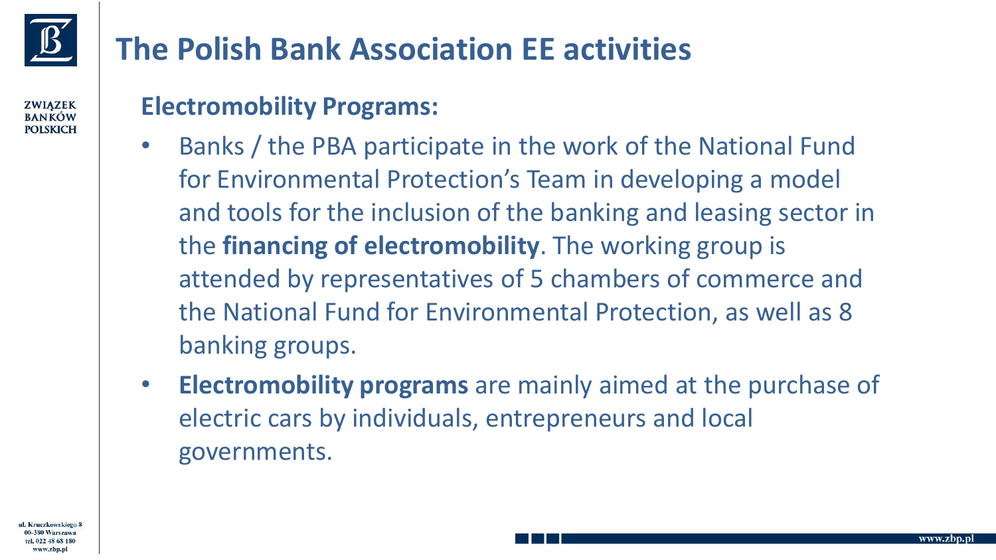#### **Electromobility Programs:**

- Banks / the PBA participate in the work of the National Fund for Environmental Protection's Team in developing a model and tools for the inclusion of the banking and leasing sector in the **financing of electromobility**. The working group is attended by representatives of 5 chambers of commerce and the National Fund for Environmental Protection, as well as 8 banking groups.
- **Electromobility programs** are mainly aimed at the purchase of electric cars by individuals, entrepreneurs and local governments.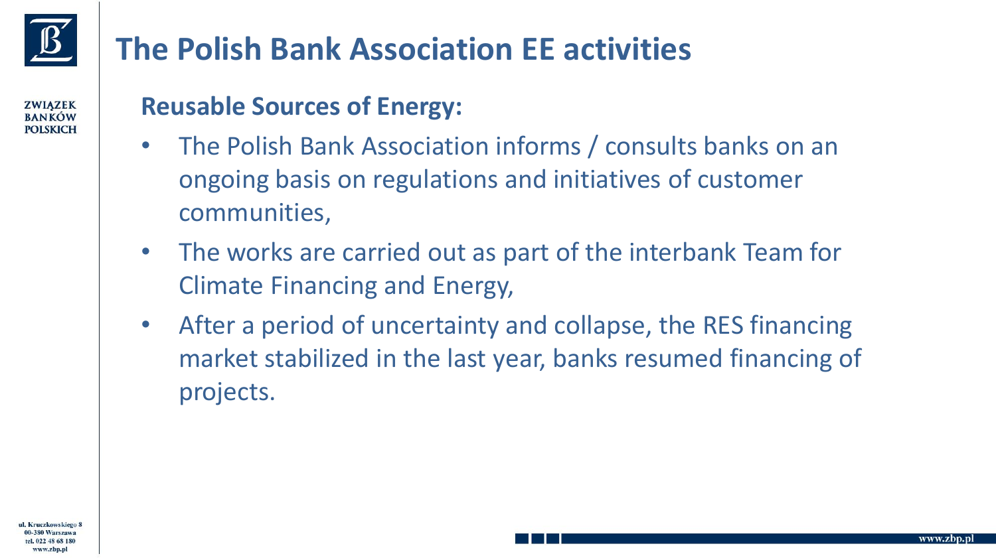#### **Reusable Sources of Energy:**

- The Polish Bank Association informs / consults banks on an ongoing basis on regulations and initiatives of customer communities,
- The works are carried out as part of the interbank Team for Climate Financing and Energy,
- After a period of uncertainty and collapse, the RES financing market stabilized in the last year, banks resumed financing of projects.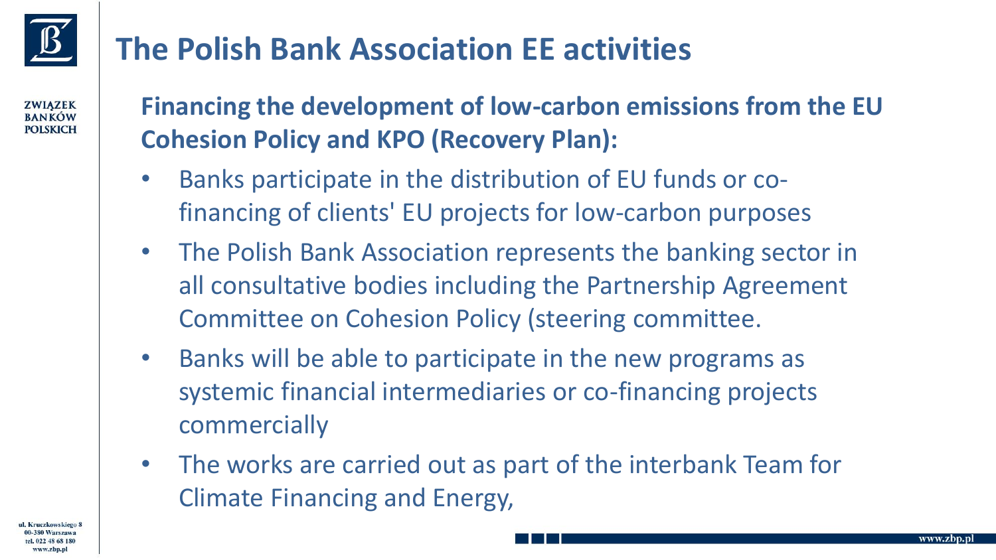**ZWIAZEK RANKÓW POLSKICH** 

#### **Financing the development of low-carbon emissions from the EU Cohesion Policy and KPO (Recovery Plan):**

- Banks participate in the distribution of EU funds or cofinancing of clients' EU projects for low-carbon purposes
- The Polish Bank Association represents the banking sector in all consultative bodies including the Partnership Agreement Committee on Cohesion Policy (steering committee.
- Banks will be able to participate in the new programs as systemic financial intermediaries or co-financing projects commercially
- The works are carried out as part of the interbank Team for Climate Financing and Energy,

ul. Kruczkowskiego www.zbp.p